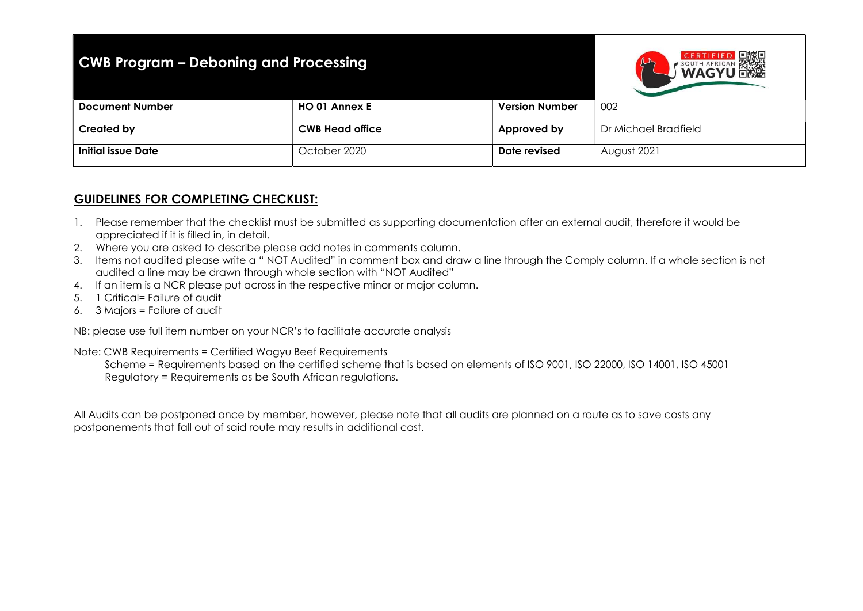## CWB Program – Deboning and Processing



| <b>Document Number</b>    | <b>HO 01 Annex E</b>   | <b>Version Number</b> | 002                  |
|---------------------------|------------------------|-----------------------|----------------------|
|                           |                        |                       |                      |
| <b>Created by</b>         | <b>CWB Head office</b> | Approved by           | Dr Michael Bradfield |
| <b>Initial issue Date</b> | October 2020           | Date revised          | August 2021          |

## GUIDELINES FOR COMPLETING CHECKLIST:

- 1. Please remember that the checklist must be submitted as supporting documentation after an external audit, therefore it would be appreciated if it is filled in, in detail.
- 2. Where you are asked to describe please add notes in comments column.
- 3. Items not audited please write a " NOT Audited" in comment box and draw a line through the Comply column. If a whole section is not audited a line may be drawn through whole section with "NOT Audited"
- 4. If an item is a NCR please put across in the respective minor or major column.
- 5. 1 Critical= Failure of audit
- 6. 3 Majors = Failure of audit

NB: please use full item number on your NCR's to facilitate accurate analysis

Note: CWB Requirements = Certified Wagyu Beef Requirements

 Scheme = Requirements based on the certified scheme that is based on elements of ISO 9001, ISO 22000, ISO 14001, ISO 45001 Regulatory = Requirements as be South African regulations.

All Audits can be postponed once by member, however, please note that all audits are planned on a route as to save costs any postponements that fall out of said route may results in additional cost.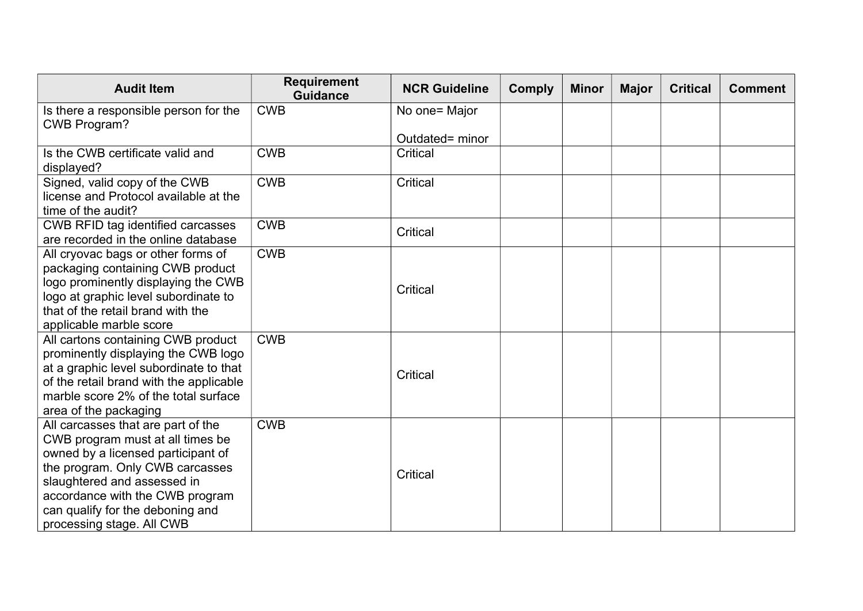| <b>Audit Item</b>                                                                                                                                                                                                                                                                  | <b>Requirement</b><br><b>Guidance</b> | <b>NCR Guideline</b> | <b>Comply</b> | <b>Minor</b> | <b>Major</b> | <b>Critical</b> | <b>Comment</b> |
|------------------------------------------------------------------------------------------------------------------------------------------------------------------------------------------------------------------------------------------------------------------------------------|---------------------------------------|----------------------|---------------|--------------|--------------|-----------------|----------------|
| Is there a responsible person for the<br><b>CWB Program?</b>                                                                                                                                                                                                                       | <b>CWB</b>                            | No one= Major        |               |              |              |                 |                |
|                                                                                                                                                                                                                                                                                    |                                       | Outdated= minor      |               |              |              |                 |                |
| Is the CWB certificate valid and<br>displayed?                                                                                                                                                                                                                                     | <b>CWB</b>                            | Critical             |               |              |              |                 |                |
| Signed, valid copy of the CWB<br>license and Protocol available at the<br>time of the audit?                                                                                                                                                                                       | <b>CWB</b>                            | Critical             |               |              |              |                 |                |
| <b>CWB RFID tag identified carcasses</b><br>are recorded in the online database                                                                                                                                                                                                    | <b>CWB</b>                            | <b>Critical</b>      |               |              |              |                 |                |
| All cryovac bags or other forms of<br>packaging containing CWB product<br>logo prominently displaying the CWB<br>logo at graphic level subordinate to<br>that of the retail brand with the<br>applicable marble score                                                              | <b>CWB</b>                            | Critical             |               |              |              |                 |                |
| All cartons containing CWB product<br>prominently displaying the CWB logo<br>at a graphic level subordinate to that<br>of the retail brand with the applicable<br>marble score 2% of the total surface<br>area of the packaging                                                    | <b>CWB</b>                            | Critical             |               |              |              |                 |                |
| All carcasses that are part of the<br>CWB program must at all times be<br>owned by a licensed participant of<br>the program. Only CWB carcasses<br>slaughtered and assessed in<br>accordance with the CWB program<br>can qualify for the deboning and<br>processing stage. All CWB | <b>CWB</b>                            | Critical             |               |              |              |                 |                |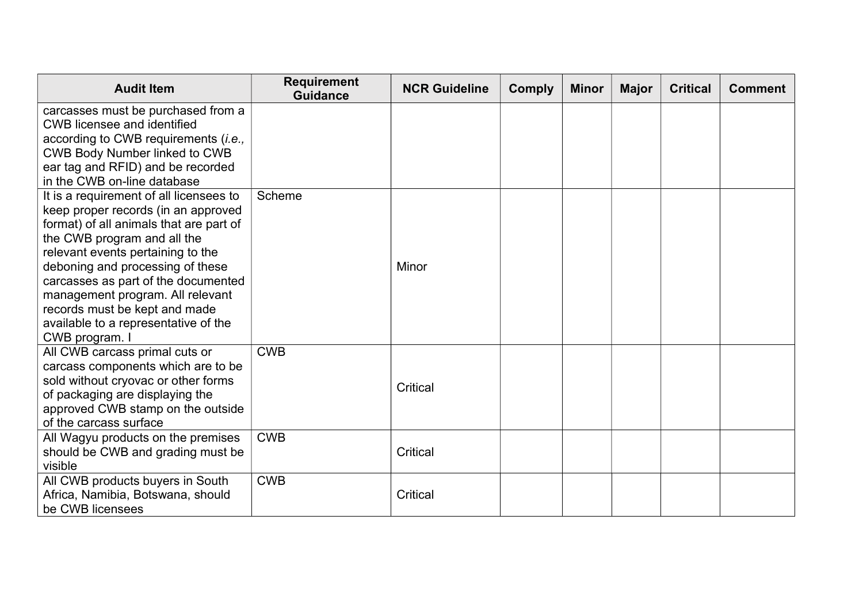| <b>Audit Item</b>                                                                                                                                                                                                                                                                                                                                                                                       | <b>Requirement</b><br><b>Guidance</b> | <b>NCR Guideline</b> | <b>Comply</b> | <b>Minor</b> | <b>Major</b> | <b>Critical</b> | <b>Comment</b> |
|---------------------------------------------------------------------------------------------------------------------------------------------------------------------------------------------------------------------------------------------------------------------------------------------------------------------------------------------------------------------------------------------------------|---------------------------------------|----------------------|---------------|--------------|--------------|-----------------|----------------|
| carcasses must be purchased from a<br><b>CWB</b> licensee and identified<br>according to CWB requirements (i.e.,<br><b>CWB Body Number linked to CWB</b><br>ear tag and RFID) and be recorded<br>in the CWB on-line database                                                                                                                                                                            |                                       |                      |               |              |              |                 |                |
| It is a requirement of all licensees to<br>keep proper records (in an approved<br>format) of all animals that are part of<br>the CWB program and all the<br>relevant events pertaining to the<br>deboning and processing of these<br>carcasses as part of the documented<br>management program. All relevant<br>records must be kept and made<br>available to a representative of the<br>CWB program. I | Scheme                                | Minor                |               |              |              |                 |                |
| All CWB carcass primal cuts or<br>carcass components which are to be<br>sold without cryovac or other forms<br>of packaging are displaying the<br>approved CWB stamp on the outside<br>of the carcass surface                                                                                                                                                                                           | <b>CWB</b>                            | Critical             |               |              |              |                 |                |
| All Wagyu products on the premises<br>should be CWB and grading must be<br>visible                                                                                                                                                                                                                                                                                                                      | <b>CWB</b>                            | Critical             |               |              |              |                 |                |
| All CWB products buyers in South<br>Africa, Namibia, Botswana, should<br>be CWB licensees                                                                                                                                                                                                                                                                                                               | <b>CWB</b>                            | Critical             |               |              |              |                 |                |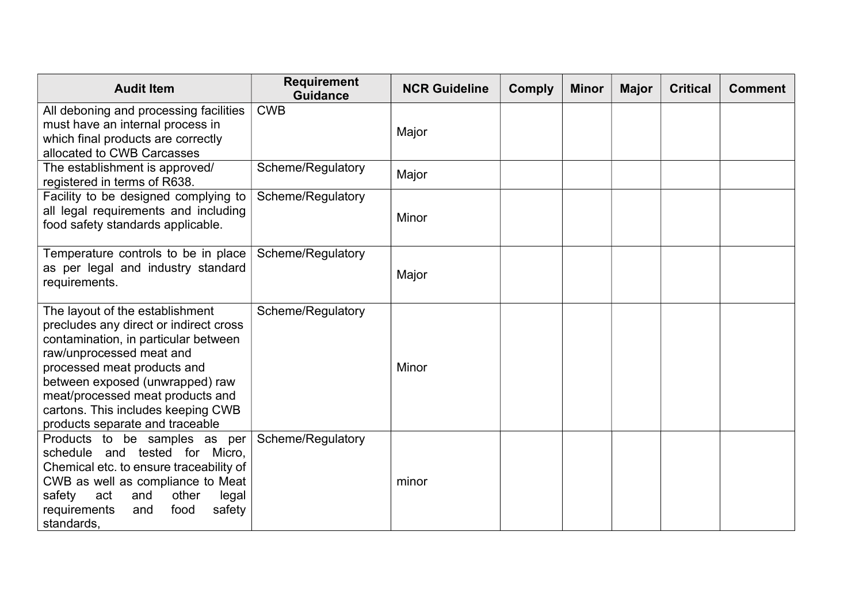| <b>Audit Item</b>                                                                                                                                                                                                                                                                                                            | <b>Requirement</b><br><b>Guidance</b> | <b>NCR Guideline</b> | <b>Comply</b> | <b>Minor</b> | <b>Major</b> | <b>Critical</b> | <b>Comment</b> |
|------------------------------------------------------------------------------------------------------------------------------------------------------------------------------------------------------------------------------------------------------------------------------------------------------------------------------|---------------------------------------|----------------------|---------------|--------------|--------------|-----------------|----------------|
| All deboning and processing facilities<br>must have an internal process in<br>which final products are correctly<br>allocated to CWB Carcasses                                                                                                                                                                               | <b>CWB</b>                            | Major                |               |              |              |                 |                |
| The establishment is approved/<br>registered in terms of R638.                                                                                                                                                                                                                                                               | Scheme/Regulatory                     | Major                |               |              |              |                 |                |
| Facility to be designed complying to<br>all legal requirements and including<br>food safety standards applicable.                                                                                                                                                                                                            | Scheme/Regulatory                     | Minor                |               |              |              |                 |                |
| Temperature controls to be in place<br>as per legal and industry standard<br>requirements.                                                                                                                                                                                                                                   | Scheme/Regulatory                     | Major                |               |              |              |                 |                |
| The layout of the establishment<br>precludes any direct or indirect cross<br>contamination, in particular between<br>raw/unprocessed meat and<br>processed meat products and<br>between exposed (unwrapped) raw<br>meat/processed meat products and<br>cartons. This includes keeping CWB<br>products separate and traceable | Scheme/Regulatory                     | Minor                |               |              |              |                 |                |
| Products to be samples as per<br>schedule and tested for Micro,<br>Chemical etc. to ensure traceability of<br>CWB as well as compliance to Meat<br>other<br>safety<br>act<br>and<br>legal<br>safety<br>requirements<br>food<br>and<br>standards,                                                                             | Scheme/Regulatory                     | minor                |               |              |              |                 |                |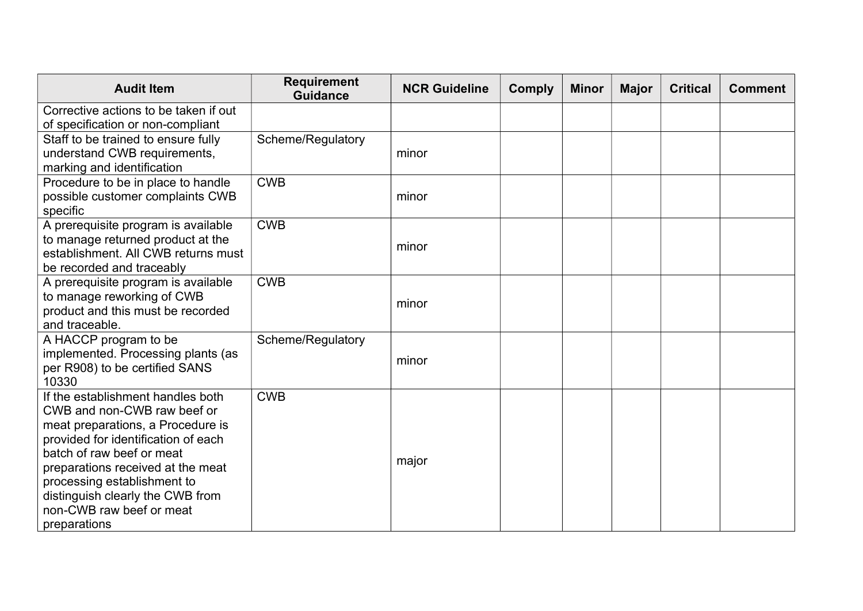| <b>Audit Item</b>                                   | <b>Requirement</b><br><b>Guidance</b> | <b>NCR Guideline</b> | <b>Comply</b> | <b>Minor</b> | <b>Major</b> | <b>Critical</b> | <b>Comment</b> |
|-----------------------------------------------------|---------------------------------------|----------------------|---------------|--------------|--------------|-----------------|----------------|
| Corrective actions to be taken if out               |                                       |                      |               |              |              |                 |                |
| of specification or non-compliant                   |                                       |                      |               |              |              |                 |                |
| Staff to be trained to ensure fully                 | Scheme/Regulatory                     |                      |               |              |              |                 |                |
| understand CWB requirements,                        |                                       | minor                |               |              |              |                 |                |
| marking and identification                          |                                       |                      |               |              |              |                 |                |
| Procedure to be in place to handle                  | <b>CWB</b>                            |                      |               |              |              |                 |                |
| possible customer complaints CWB                    |                                       | minor                |               |              |              |                 |                |
| specific                                            |                                       |                      |               |              |              |                 |                |
| A prerequisite program is available                 | <b>CWB</b>                            |                      |               |              |              |                 |                |
| to manage returned product at the                   |                                       | minor                |               |              |              |                 |                |
| establishment. All CWB returns must                 |                                       |                      |               |              |              |                 |                |
| be recorded and traceably                           |                                       |                      |               |              |              |                 |                |
| A prerequisite program is available                 | <b>CWB</b>                            |                      |               |              |              |                 |                |
| to manage reworking of CWB                          |                                       | minor                |               |              |              |                 |                |
| product and this must be recorded<br>and traceable. |                                       |                      |               |              |              |                 |                |
| A HACCP program to be                               | Scheme/Regulatory                     |                      |               |              |              |                 |                |
| implemented. Processing plants (as                  |                                       |                      |               |              |              |                 |                |
| per R908) to be certified SANS                      |                                       | minor                |               |              |              |                 |                |
| 10330                                               |                                       |                      |               |              |              |                 |                |
| If the establishment handles both                   | <b>CWB</b>                            |                      |               |              |              |                 |                |
| CWB and non-CWB raw beef or                         |                                       |                      |               |              |              |                 |                |
| meat preparations, a Procedure is                   |                                       |                      |               |              |              |                 |                |
| provided for identification of each                 |                                       |                      |               |              |              |                 |                |
| batch of raw beef or meat                           |                                       | major                |               |              |              |                 |                |
| preparations received at the meat                   |                                       |                      |               |              |              |                 |                |
| processing establishment to                         |                                       |                      |               |              |              |                 |                |
| distinguish clearly the CWB from                    |                                       |                      |               |              |              |                 |                |
| non-CWB raw beef or meat                            |                                       |                      |               |              |              |                 |                |
| preparations                                        |                                       |                      |               |              |              |                 |                |